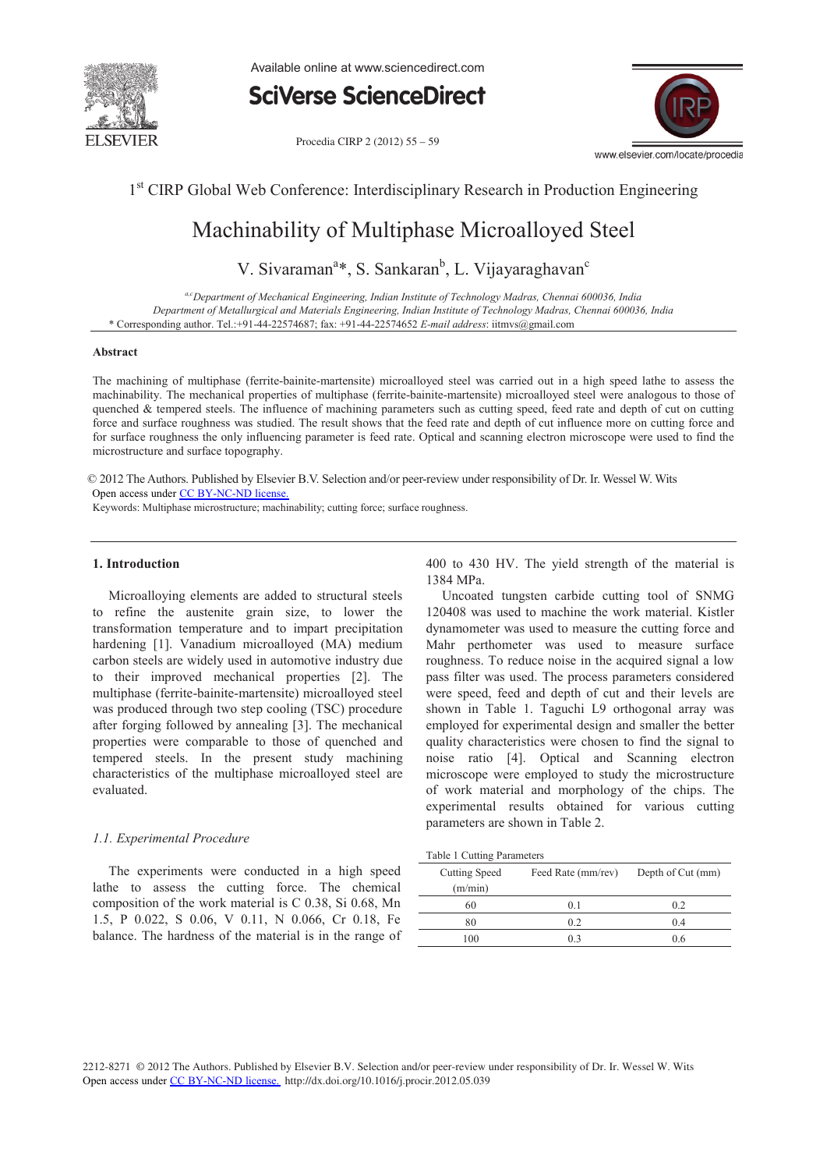

Available online at www.sciencedirect.com

**SciVerse ScienceDirect** 

Procedia CIRP 2 (2012) 55 – 59



# 1<sup>st</sup> CIRP Global Web Conference: Interdisciplinary Research in Production Engineering

# Machinability of Multiphase Microalloyed Steel

# V. Sivaraman<sup>a</sup>\*, S. Sankaran<sup>b</sup>, L. Vijayaraghavan<sup>c</sup>

*a,cDepartment of Mechanical Engineering, Indian Institute of Technology Madras, Chennai 600036, India Department of Metallurgical and Materials Engineering, Indian Institute of Technology Madras, Chennai 600036, India*  \* Corresponding author. Tel.:+91-44-22574687; fax: +91-44-22574652 *E-mail address*: iitmvs@gmail.com

#### **Abstract**

The machining of multiphase (ferrite-bainite-martensite) microalloyed steel was carried out in a high speed lathe to assess the machinability. The mechanical properties of multiphase (ferrite-bainite-martensite) microalloyed steel were analogous to those of quenched & tempered steels. The influence of machining parameters such as cutting speed, feed rate and depth of cut on cutting force and surface roughness was studied. The result shows that the feed rate and depth of cut influence more on cutting force and for surface roughness the only influencing parameter is feed rate. Optical and scanning electron microscope were used to find the microstructure and surface topography.

@ 2012 The Authors. Published by Elsevier B.V. Selection and/or peer-review under responsibility of Dr. Ir. Wessel W. Wits Open access under [CC BY-NC-ND license.](http://creativecommons.org/licenses/by-nc-nd/3.0/)

Keywords: Multiphase microstructure; machinability; cutting force; surface roughness.

### **1. Introduction**

Microalloying elements are added to structural steels to refine the austenite grain size, to lower the transformation temperature and to impart precipitation hardening [1]. Vanadium microalloyed (MA) medium carbon steels are widely used in automotive industry due to their improved mechanical properties [2]. The multiphase (ferrite-bainite-martensite) microalloyed steel was produced through two step cooling (TSC) procedure after forging followed by annealing [3]. The mechanical properties were comparable to those of quenched and tempered steels. In the present study machining characteristics of the multiphase microalloyed steel are evaluated.

#### *1.1. Experimental Procedure*

The experiments were conducted in a high speed lathe to assess the cutting force. The chemical composition of the work material is C 0.38, Si 0.68, Mn 1.5, P 0.022, S 0.06, V 0.11, N 0.066, Cr 0.18, Fe balance. The hardness of the material is in the range of 400 to 430 HV. The yield strength of the material is 1384 MPa.

Uncoated tungsten carbide cutting tool of SNMG 120408 was used to machine the work material. Kistler dynamometer was used to measure the cutting force and Mahr perthometer was used to measure surface roughness. To reduce noise in the acquired signal a low pass filter was used. The process parameters considered were speed, feed and depth of cut and their levels are shown in Table 1. Taguchi L9 orthogonal array was employed for experimental design and smaller the better quality characteristics were chosen to find the signal to noise ratio [4]. Optical and Scanning electron microscope were employed to study the microstructure of work material and morphology of the chips. The experimental results obtained for various cutting parameters are shown in Table 2.

|  | Table 1 Cutting Parameters |
|--|----------------------------|
|  |                            |

| Cutting Speed | Feed Rate (mm/rev) | Depth of Cut (mm) |  |
|---------------|--------------------|-------------------|--|
| (m/min)       |                    |                   |  |
| 60            | 0.1                | 0.2               |  |
| 80            | 0.2                | 0.4               |  |
| 100           | 03                 | 0.6               |  |

2212-8271 © 2012 The Authors. Published by Elsevier B.V. Selection and/or peer-review under responsibility of Dr. Ir. Wessel W. Wits Open access under [CC BY-NC-ND license.](http://creativecommons.org/licenses/by-nc-nd/3.0/) http://dx.doi.org/10.1016/j.procir.2012.05.039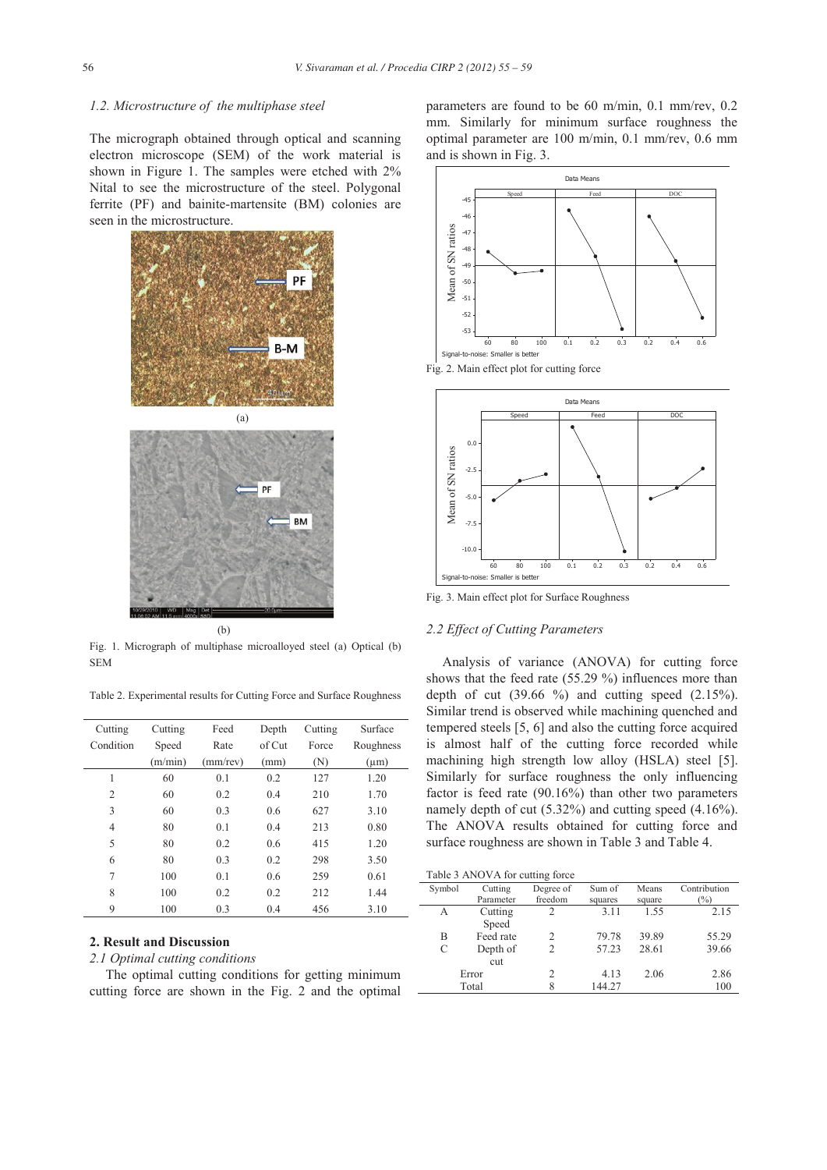#### *1.2. Microstructure of the multiphase steel*

The micrograph obtained through optical and scanning electron microscope (SEM) of the work material is shown in Figure 1. The samples were etched with 2% Nital to see the microstructure of the steel. Polygonal ferrite (PF) and bainite-martensite (BM) colonies are seen in the microstructure.



Fig. 1. Micrograph of multiphase microalloyed steel (a) Optical (b) SEM

Table 2. Experimental results for Cutting Force and Surface Roughness

| Cutting   | Cutting | Feed        | Depth  | Cutting | Surface   |
|-----------|---------|-------------|--------|---------|-----------|
| Condition | Speed   | Rate        | of Cut | Force   | Roughness |
|           | (m/min) | $(mm$ /rev) | (mm)   | (N)     | $(\mu m)$ |
| 1         | 60      | 0.1         | 0.2    | 127     | 1.20      |
| 2         | 60      | 0.2         | 0.4    | 210     | 1.70      |
| 3         | 60      | 0.3         | 0.6    | 627     | 3.10      |
| 4         | 80      | 0.1         | 0.4    | 213     | 0.80      |
| 5         | 80      | 0.2         | 0.6    | 415     | 1.20      |
| 6         | 80      | 0.3         | 0.2    | 298     | 3.50      |
| 7         | 100     | 0.1         | 0.6    | 259     | 0.61      |
| 8         | 100     | 0.2         | 0.2    | 212     | 1.44      |
| 9         | 100     | 0.3         | 0.4    | 456     | 3.10      |

# **2. Result and Discussion**

*2.1 Optimal cutting conditions*

The optimal cutting conditions for getting minimum cutting force are shown in the Fig. 2 and the optimal

parameters are found to be 60 m/min, 0.1 mm/rev, 0.2 mm. Similarly for minimum surface roughness the optimal parameter are 100 m/min, 0.1 mm/rev, 0.6 mm and is shown in Fig. 3.





Fig. 3. Main effect plot for Surface Roughness

# *2.2 Effect of Cutting Parameters*

Analysis of variance (ANOVA) for cutting force shows that the feed rate (55.29 %) influences more than depth of cut  $(39.66 \%)$  and cutting speed  $(2.15\%)$ . Similar trend is observed while machining quenched and tempered steels [5, 6] and also the cutting force acquired is almost half of the cutting force recorded while machining high strength low alloy (HSLA) steel [5]. Similarly for surface roughness the only influencing factor is feed rate (90.16%) than other two parameters namely depth of cut (5.32%) and cutting speed (4.16%). The ANOVA results obtained for cutting force and surface roughness are shown in Table 3 and Table 4.

Table 3 ANOVA for cutting force

| TAUIC 3 AINU VA TUI CUITIIIII IUICC |           |                |         |        |              |
|-------------------------------------|-----------|----------------|---------|--------|--------------|
| Symbol                              | Cutting   | Degree of      | Sum of  | Means  | Contribution |
|                                     | Parameter | freedom        | squares | square | $(\%)$       |
| А                                   | Cutting   | 2              | 3.11    | 1.55   | 2.15         |
|                                     | Speed     |                |         |        |              |
| B                                   | Feed rate | $\overline{c}$ | 79.78   | 39.89  | 55.29        |
| C                                   | Depth of  | $\overline{c}$ | 57.23   | 28.61  | 39.66        |
|                                     | cut       |                |         |        |              |
|                                     | Error     | 2              | 4.13    | 2.06   | 2.86         |
|                                     | Total     | 8              | 144.27  |        | 100          |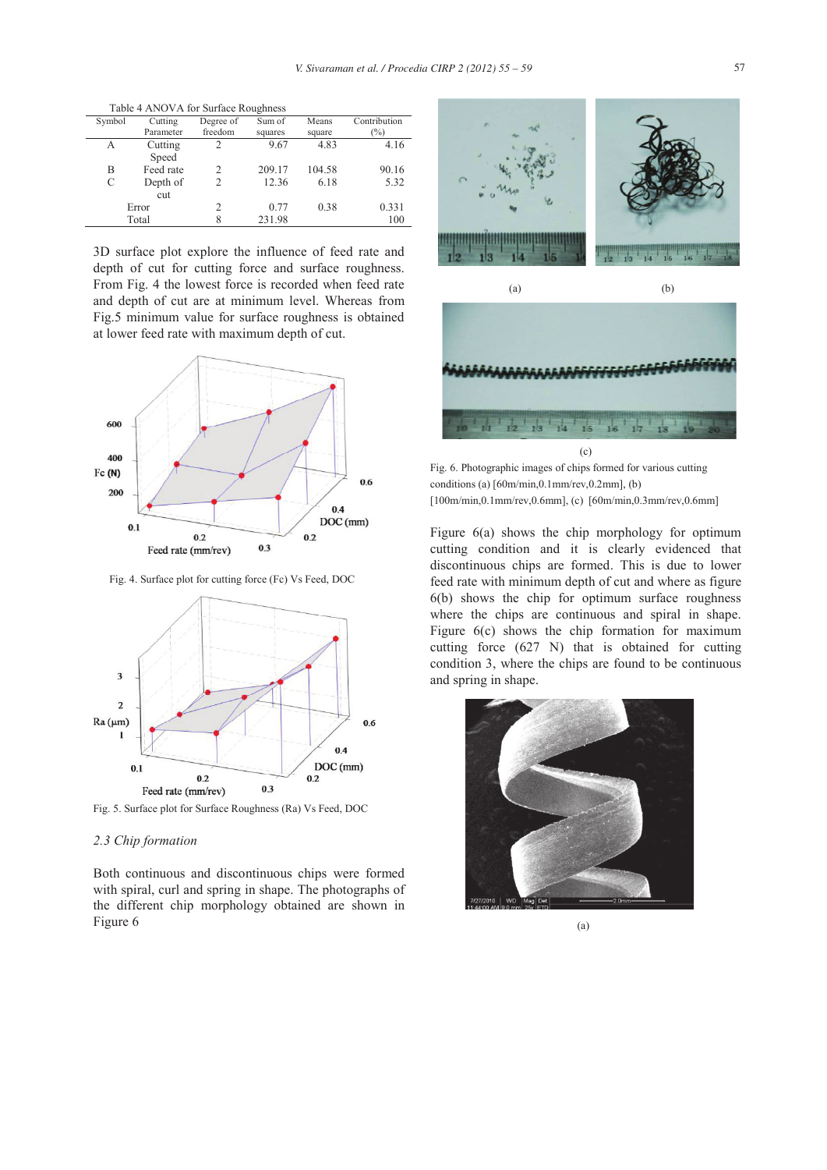|        |           |               | Ë       |        |               |
|--------|-----------|---------------|---------|--------|---------------|
| Symbol | Cutting   | Degree of     | Sum of  | Means  | Contribution  |
|        | Parameter | freedom       | squares | square | $\frac{1}{2}$ |
| А      | Cutting   | 2             | 9.67    | 4.83   | 4.16          |
|        | Speed     |               |         |        |               |
| В      | Feed rate | $\mathcal{P}$ | 209.17  | 104.58 | 90.16         |
| C      | Depth of  |               | 12.36   | 6.18   | 5.32          |
|        | cut       |               |         |        |               |
|        | Error     |               | 0.77    | 0.38   | 0.331         |
| Total  |           | 8             | 231.98  |        | 100           |

Table 4 ANOVA for Surface Roughness

3D surface plot explore the influence of feed rate and depth of cut for cutting force and surface roughness. From Fig. 4 the lowest force is recorded when feed rate and depth of cut are at minimum level. Whereas from Fig.5 minimum value for surface roughness is obtained at lower feed rate with maximum depth of cut.



Fig. 4. Surface plot for cutting force (Fc) Vs Feed, DOC



Fig. 5. Surface plot for Surface Roughness (Ra) Vs Feed, DOC

#### *2.3 Chip formation*

Both continuous and discontinuous chips were formed with spiral, curl and spring in shape. The photographs of the different chip morphology obtained are shown in Figure 6





Fig. 6. Photographic images of chips formed for various cutting conditions (a) [60m/min,0.1mm/rev,0.2mm], (b) [100m/min,0.1mm/rev,0.6mm], (c) [60m/min,0.3mm/rev,0.6mm]

Figure 6(a) shows the chip morphology for optimum cutting condition and it is clearly evidenced that discontinuous chips are formed. This is due to lower feed rate with minimum depth of cut and where as figure 6(b) shows the chip for optimum surface roughness where the chips are continuous and spiral in shape. Figure  $6(c)$  shows the chip formation for maximum cutting force (627 N) that is obtained for cutting condition 3, where the chips are found to be continuous and spring in shape.



(a)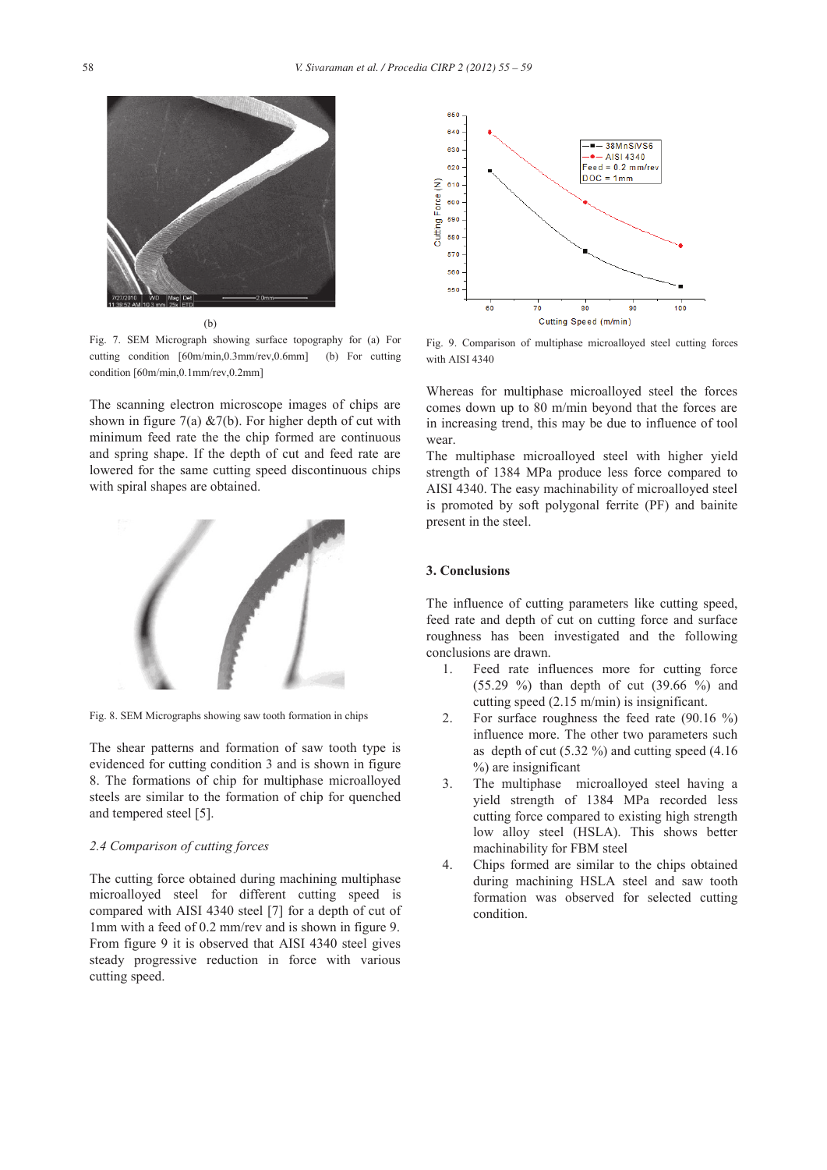

Fig. 7. SEM Micrograph showing surface topography for (a) For cutting condition [60m/min,0.3mm/rev,0.6mm] (b) For cutting condition [60m/min,0.1mm/rev,0.2mm]

The scanning electron microscope images of chips are shown in figure 7(a)  $&7(b)$ . For higher depth of cut with minimum feed rate the the chip formed are continuous and spring shape. If the depth of cut and feed rate are lowered for the same cutting speed discontinuous chips with spiral shapes are obtained.



Fig. 8. SEM Micrographs showing saw tooth formation in chips

The shear patterns and formation of saw tooth type is evidenced for cutting condition 3 and is shown in figure 8. The formations of chip for multiphase microalloyed steels are similar to the formation of chip for quenched and tempered steel [5].

#### *2.4 Comparison of cutting forces*

The cutting force obtained during machining multiphase microalloyed steel for different cutting speed is compared with AISI 4340 steel [7] for a depth of cut of 1mm with a feed of 0.2 mm/rev and is shown in figure 9. From figure 9 it is observed that AISI 4340 steel gives steady progressive reduction in force with various cutting speed.



Fig. 9. Comparison of multiphase microalloyed steel cutting forces with AISI 4340

Whereas for multiphase microalloyed steel the forces comes down up to 80 m/min beyond that the forces are in increasing trend, this may be due to influence of tool wear.

The multiphase microalloyed steel with higher yield strength of 1384 MPa produce less force compared to AISI 4340. The easy machinability of microalloyed steel is promoted by soft polygonal ferrite (PF) and bainite present in the steel.

## **3. Conclusions**

The influence of cutting parameters like cutting speed, feed rate and depth of cut on cutting force and surface roughness has been investigated and the following conclusions are drawn.

- 1. Feed rate influences more for cutting force (55.29 %) than depth of cut (39.66 %) and cutting speed (2.15 m/min) is insignificant.
- 2. For surface roughness the feed rate (90.16 %) influence more. The other two parameters such as depth of cut (5.32 %) and cutting speed (4.16 %) are insignificant
- 3. The multiphase microalloyed steel having a yield strength of 1384 MPa recorded less cutting force compared to existing high strength low alloy steel (HSLA). This shows better machinability for FBM steel
- 4. Chips formed are similar to the chips obtained during machining HSLA steel and saw tooth formation was observed for selected cutting condition.